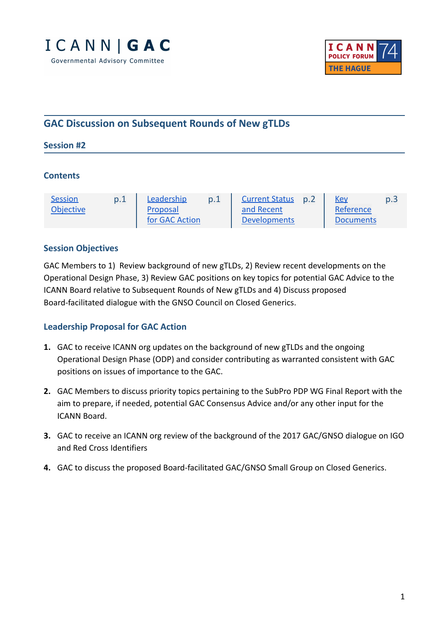



# **GAC Discussion on Subsequent Rounds of New gTLDs**

#### **Session #2**

#### **Contents**

| <b>Session</b>   | p.1 | Leadership     | <b>Current Status</b> | p.2 | <u>Key</u>       | p.3 |
|------------------|-----|----------------|-----------------------|-----|------------------|-----|
| <b>Objective</b> |     | Proposal       | and Recent            |     | Reference        |     |
|                  |     | for GAC Action | <b>Developments</b>   |     | <b>Documents</b> |     |

#### <span id="page-0-0"></span>**Session Objectives**

GAC Members to 1) Review background of new gTLDs, 2) Review recent developments on the Operational Design Phase, 3) Review GAC positions on key topics for potential GAC Advice to the ICANN Board relative to Subsequent Rounds of New gTLDs and 4) Discuss proposed Board-facilitated dialogue with the GNSO Council on Closed Generics.

#### <span id="page-0-1"></span>**Leadership Proposal for GAC Action**

- **1.** GAC to receive ICANN org updates on the background of new gTLDs and the ongoing Operational Design Phase (ODP) and consider contributing as warranted consistent with GAC positions on issues of importance to the GAC.
- **2.** GAC Members to discuss priority topics pertaining to the SubPro PDP WG Final Report with the aim to prepare, if needed, potential GAC Consensus Advice and/or any other input for the ICANN Board.
- **3.** GAC to receive an ICANN org review of the background of the 2017 GAC/GNSO dialogue on IGO and Red Cross Identifiers
- **4.** GAC to discuss the proposed Board-facilitated GAC/GNSO Small Group on Closed Generics.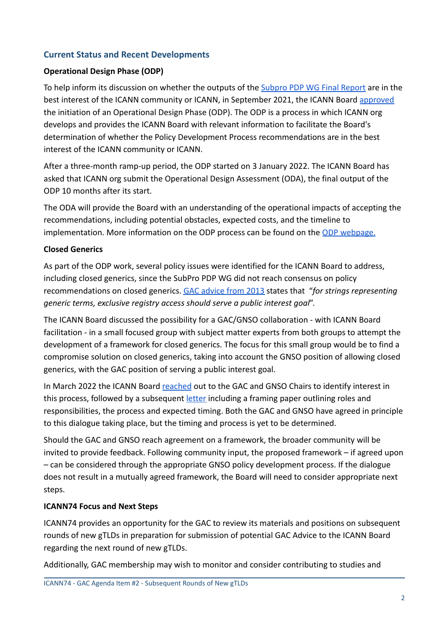### <span id="page-1-0"></span>**Current Status and Recent Developments**

#### **Operational Design Phase (ODP)**

To help inform its discussion on whether the outputs of the [Subpro PDP WG Final Report](https://community.icann.org/display/NGSPP/h.+Final+Report+Drafting?preview=/153520393/157188562/SubPro%20-%20Final%20Report%20-%2020Jan2021%20-%20FINAL%20WITH%20CORRECTIONS.pdf) are in the best interest of the ICANN community or ICANN, in September 2021, the ICANN Board [approved](https://www.icann.org/resources/board-material/resolutions-2021-09-12-en#1.a) the initiation of an Operational Design Phase (ODP). The ODP is a process in which ICANN org develops and provides the ICANN Board with relevant information to facilitate the Board's determination of whether the Policy Development Process recommendations are in the best interest of the ICANN community or ICANN.

After a three-month ramp-up period, the ODP started on 3 January 2022. The ICANN Board has asked that ICANN org submit the Operational Design Assessment (ODA), the final output of the ODP 10 months after its start.

The ODA will provide the Board with an understanding of the operational impacts of accepting the recommendations, including potential obstacles, expected costs, and the timeline to implementation. More information on the ODP process can be found on the [ODP webpage.](https://www.icann.org/odp)

#### **Closed Generics**

As part of the ODP work, several policy issues were identified for the ICANN Board to address, including closed generics, since the SubPro PDP WG did not reach consensus on policy recommendations on closed generics. [GAC advice from](https://www.icann.org/en/system/files/correspondence/gac-to-board-18apr13-en.pdf) 2013 states that "*for strings representing generic terms, exclusive registry access should serve a public interest goal*".

The ICANN Board discussed the possibility for a GAC/GNSO collaboration - with ICANN Board facilitation - in a small focused group with subject matter experts from both groups to attempt the development of a framework for closed generics. The focus for this small group would be to find a compromise solution on closed generics, taking into account the GNSO position of allowing closed generics, with the GAC position of serving a public interest goal.

In March 2022 the ICANN Board [reached](https://gac.icann.org/advice/correspondence/incoming/20220306/gac-gnso-council-consultation-on-closed-generics) out to the GAC and GNSO Chairs to identify interest in this process, followed by a subsequent [letter](http://v) including a framing paper outlining roles and responsibilities, the process and expected timing. Both the GAC and GNSO have agreed in principle to this dialogue taking place, but the timing and process is yet to be determined.

Should the GAC and GNSO reach agreement on a framework, the broader community will be invited to provide feedback. Following community input, the proposed framework – if agreed upon – can be considered through the appropriate GNSO policy development process. If the dialogue does not result in a mutually agreed framework, the Board will need to consider appropriate next steps.

### **ICANN74 Focus and Next Steps**

ICANN74 provides an opportunity for the GAC to review its materials and positions on subsequent rounds of new gTLDs in preparation for submission of potential GAC Advice to the ICANN Board regarding the next round of new gTLDs.

Additionally, GAC membership may wish to monitor and consider contributing to studies and